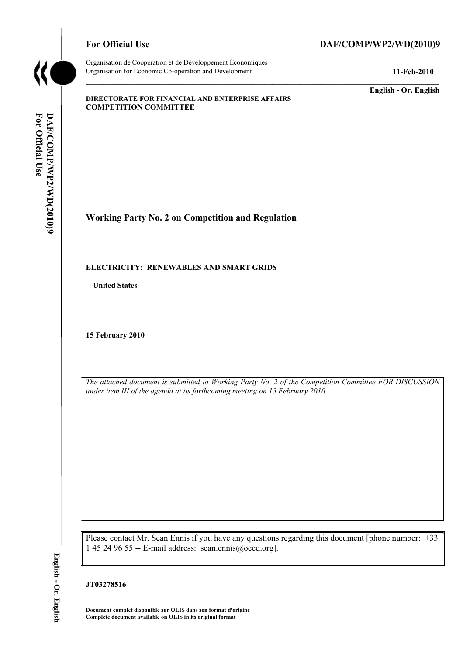

Organisation de Coopération et de Développement Économiques Organisation for Economic Co-operation and Development **11-Feb-2010** 

# For Official Use DAF/COMP/WP2/WD(2010)9

**English - Or. English** 

#### **DIRECTORATE FOR FINANCIAL AND ENTERPRISE AFFAIRS COMPETITION COMMITTEE**

**Working Party No. 2 on Competition and Regulation** 

#### **ELECTRICITY: RENEWABLES AND SMART GRIDS**

**-- United States --**

**15 February 2010** 

*The attached document is submitted to Working Party No. 2 of the Competition Committee FOR DISCUSSION under item III of the agenda at its forthcoming meeting on 15 February 2010.* 

Please contact Mr. Sean Ennis if you have any questions regarding this document [phone number: +33 1 45 24 96 55 -- E-mail address: sean.ennis@oecd.org].

**JT03278516** 

 **Document complet disponible sur OLIS dans son format d'origine Complete document available on OLIS in its original format**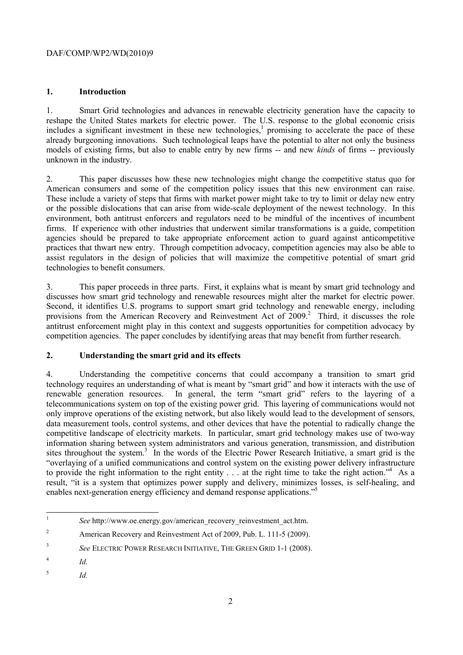# **1. Introduction**

unknown in the industry. 1. Smart Grid technologies and advances in renewable electricity generation have the capacity to reshape the United States markets for electric power. The U.S. response to the global economic crisis includes a significant investment in these new technologies,<sup>1</sup> promising to accelerate the pace of these already burgeoning innovations. Such technological leaps have the potential to alter not only the business models of existing firms, but also to enable entry by new firms -- and new *kinds* of firms -- previously

 American consumers and some of the competition policy issues that this new environment can raise. These include a variety of steps that firms with market power might take to try to limit or delay new entry or the possible dislocations that can arise from wide-scale deployment of the newest technology. In this environment, both antitrust enforcers and regulators need to be mindful of the incentives of incumbent 2. This paper discusses how these new technologies might change the competitive status quo for firms. If experience with other industries that underwent similar transformations is a guide, competition agencies should be prepared to take appropriate enforcement action to guard against anticompetitive practices that thwart new entry. Through competition advocacy, competition agencies may also be able to assist regulators in the design of policies that will maximize the competitive potential of smart grid technologies to benefit consumers.

3. This paper proceeds in three parts. First, it explains what is meant by smart grid technology and discusses how smart grid technology and renewable resources might alter the market for electric power. Second, it identifies U.S. programs to support smart grid technology and renewable energy, including provisions from the American Recovery and Reinvestment Act of 2009.<sup>2</sup> Third, it discusses the role antitrust enforcement might play in this context and suggests opportunities for competition advocacy by competition agencies. The paper concludes by identifying areas that may benefit from further research.

# **2. Understanding the smart grid and its effects**

4. Understanding the competitive concerns that could accompany a transition to smart grid technology requires an understanding of what is meant by "smart grid" and how it interacts with the use of renewable generation resources. In general, the term "smart grid" refers to the layering of a telecommunications system on top of the existing power grid. This layering of communications would not only improve operations of the existing network, but also likely would lead to the development of sensors, data measurement tools, control systems, and other devices that have the potential to radically change the competitive landscape of electricity markets. In particular, smart grid technology makes use of two-way information sharing between system administrators and various generation, transmission, and distribution sites throughout the system.<sup>3</sup> In the words of the Electric Power Research Initiative, a smart grid is the "overlaying of a unified communications and control system on the existing power delivery infrastructure to provide the right information to the right entity . . . at the right time to take the right action."<sup>4</sup> As a result, "it is a system that optimizes power supply and delivery, minimizes losses, is self-healing, and enables next-generation energy efficiency and demand response applications."<sup>5</sup>

 $\overline{a}$ 

 $\frac{5}{10}$ 

<sup>1</sup>*See* http://www.oe.energy.gov/american\_recovery\_reinvestment\_act.htm.

<sup>&</sup>lt;sup>2</sup> American Recovery and Reinvestment Act of 2009, Pub. L. 111-5 (2009).

<sup>3</sup>*See* ELECTRIC POWER RESEARCH INITIATIVE, THE GREEN GRID 1-1 (2008).

<sup>4</sup>*Id.*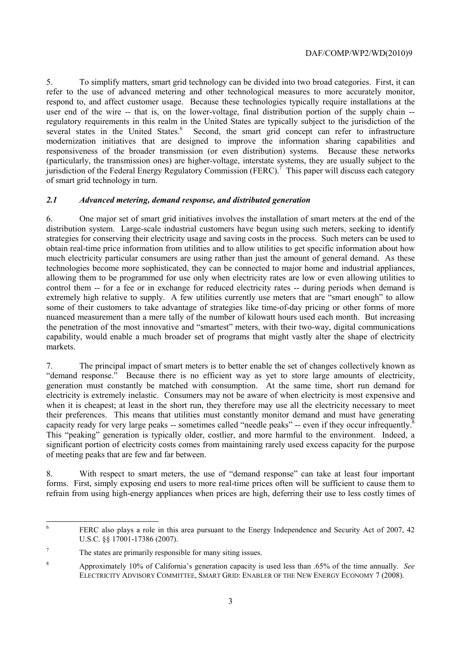5. To simplify matters, smart grid technology can be divided into two broad categories. First, it can refer to the use of advanced metering and other technological measures to more accurately monitor, respond to, and affect customer usage. Because these technologies typically require installations at the user end of the wire -- that is, on the lower-voltage, final distribution portion of the supply chain - regulatory requirements in this realm in the United States are typically subject to the jurisdiction of the several states in the United States.<sup>6</sup> Second, the smart grid concept can refer to infrastructure modernization initiatives that are designed to improve the information sharing capabilities and responsiveness of the broader transmission (or even distribution) systems. Because these networks (particularly, the transmission ones) are higher-voltage, interstate systems, they are usually subject to the jurisdiction of the Federal Energy Regulatory Commission (FERC).<sup>7</sup> This paper will discuss each category of smart grid technology in turn.

## *2.1 Advanced metering, demand response, and distributed generation*

6. One major set of smart grid initiatives involves the installation of smart meters at the end of the distribution system. Large-scale industrial customers have begun using such meters, seeking to identify strategies for conserving their electricity usage and saving costs in the process. Such meters can be used to obtain real-time price information from utilities and to allow utilities to get specific information about how much electricity particular consumers are using rather than just the amount of general demand. As these technologies become more sophisticated, they can be connected to major home and industrial appliances, allowing them to be programmed for use only when electricity rates are low or even allowing utilities to control them -- for a fee or in exchange for reduced electricity rates -- during periods when demand is extremely high relative to supply. A few utilities currently use meters that are "smart enough" to allow some of their customers to take advantage of strategies like time-of-day pricing or other forms of more nuanced measurement than a mere tally of the number of kilowatt hours used each month. But increasing the penetration of the most innovative and "smartest" meters, with their two-way, digital communications capability, would enable a much broader set of programs that might vastly alter the shape of electricity markets.

capacity ready for very large peaks -- sometimes called "needle peaks" -- even if they occur infrequently. $\bar{8}$ 7. The principal impact of smart meters is to better enable the set of changes collectively known as "demand response." Because there is no efficient way as yet to store large amounts of electricity, generation must constantly be matched with consumption. At the same time, short run demand for electricity is extremely inelastic. Consumers may not be aware of when electricity is most expensive and when it is cheapest; at least in the short run, they therefore may use all the electricity necessary to meet their preferences. This means that utilities must constantly monitor demand and must have generating This "peaking" generation is typically older, costlier, and more harmful to the environment. Indeed, a significant portion of electricity costs comes from maintaining rarely used excess capacity for the purpose of meeting peaks that are few and far between.

8. With respect to smart meters, the use of "demand response" can take at least four important forms. First, simply exposing end users to more real-time prices often will be sufficient to cause them to refrain from using high-energy appliances when prices are high, deferring their use to less costly times of

 $\overline{6}$ 6 FERC also plays a role in this area pursuant to the Energy Independence and Security Act of 2007, 42 U.S.C. §§ 17001-17386 (2007).

<sup>7</sup> The states are primarily responsible for many siting issues.

<sup>8</sup> Approximately 10% of California's generation capacity is used less than .65% of the time annually. *See*  ELECTRICITY ADVISORY COMMITTEE, SMART GRID: ENABLER OF THE NEW ENERGY ECONOMY 7 (2008).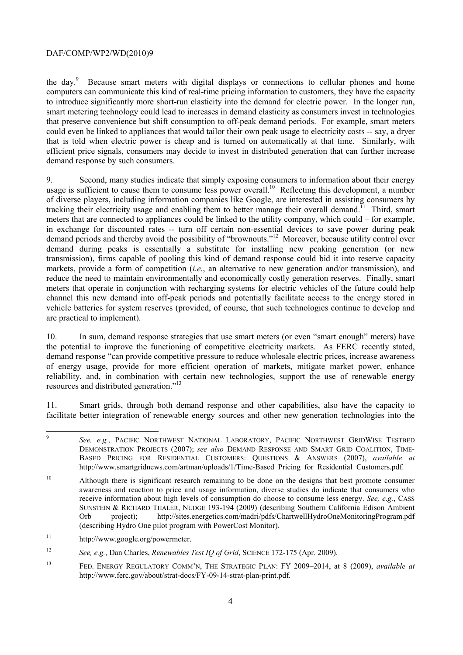computers can communicate this kind of real-time pricing information to customers, they have the capacity to introduce significantly more short-run elasticity into the demand for electric power. In the longer run, the day.<sup>9</sup> Because smart meters with digital displays or connections to cellular phones and home smart metering technology could lead to increases in demand elasticity as consumers invest in technologies that preserve convenience but shift consumption to off-peak demand periods. For example, smart meters could even be linked to appliances that would tailor their own peak usage to electricity costs -- say, a dryer that is told when electric power is cheap and is turned on automatically at that time. Similarly, with efficient price signals, consumers may decide to invest in distributed generation that can further increase demand response by such consumers.

 are practical to implement). 9. Second, many studies indicate that simply exposing consumers to information about their energy usage is sufficient to cause them to consume less power overall.<sup>10</sup> Reflecting this development, a number of diverse players, including information companies like Google, are interested in assisting consumers by tracking their electricity usage and enabling them to better manage their overall demand.<sup> $\bar{1}$ </sup> Third, smart meters that are connected to appliances could be linked to the utility company, which could – for example, in exchange for discounted rates -- turn off certain non-essential devices to save power during peak demand periods and thereby avoid the possibility of "brownouts."<sup>12</sup> Moreover, because utility control over demand during peaks is essentially a substitute for installing new peaking generation (or new transmission), firms capable of pooling this kind of demand response could bid it into reserve capacity markets, provide a form of competition (*i.e.*, an alternative to new generation and/or transmission), and reduce the need to maintain environmentally and economically costly generation reserves. Finally, smart meters that operate in conjunction with recharging systems for electric vehicles of the future could help channel this new demand into off-peak periods and potentially facilitate access to the energy stored in vehicle batteries for system reserves (provided, of course, that such technologies continue to develop and

 reliability, and, in combination with certain new technologies, support the use of renewable energy resources and distributed generation."13 10. In sum, demand response strategies that use smart meters (or even "smart enough" meters) have the potential to improve the functioning of competitive electricity markets. As FERC recently stated, demand response "can provide competitive pressure to reduce wholesale electric prices, increase awareness of energy usage, provide for more efficient operation of markets, mitigate market power, enhance

 facilitate better integration of renewable energy sources and other new generation technologies into the 11. Smart grids, through both demand response and other capabilities, also have the capacity to

 <sup>9</sup>*See, e.g.*, PACIFIC NORTHWEST NATIONAL LABORATORY, PACIFIC NORTHWEST GRIDWISE TESTBED DEMONSTRATION PROJECTS (2007); *see also* DEMAND RESPONSE AND SMART GRID COALITION, TIME-BASED PRICING FOR RESIDENTIAL CUSTOMERS: QUESTIONS & ANSWERS (2007), *available at*  http://www.smartgridnews.com/artman/uploads/1/Time-Based\_Pricing\_for\_Residential\_Customers.pdf.

 SUNSTEIN & RICHARD THALER, NUDGE 193-194 (2009) (describing Southern California Edison Ambient <sup>10</sup> Although there is significant research remaining to be done on the designs that best promote consumer awareness and reaction to price and usage information, diverse studies do indicate that consumers who receive information about high levels of consumption do choose to consume less energy. *See, e.g.*, CASS Orb project); http://sites.energetics.com/madri/pdfs/ChartwellHydroOneMonitoringProgram.pdf (describing Hydro One pilot program with PowerCost Monitor).

 $11$ http://www.google.org/powermeter.

 $12$ <sup>12</sup>*See, e.g.*, Dan Charles, *Renewables Test IQ of Grid*, SCIENCE 172-175 (Apr. 2009).

<sup>13</sup> FED. ENERGY REGULATORY COMM'N, THE STRATEGIC PLAN: FY 2009–2014, at 8 (2009), *available at*  http://www.ferc.gov/about/strat-docs/FY-09-14-strat-plan-print.pdf.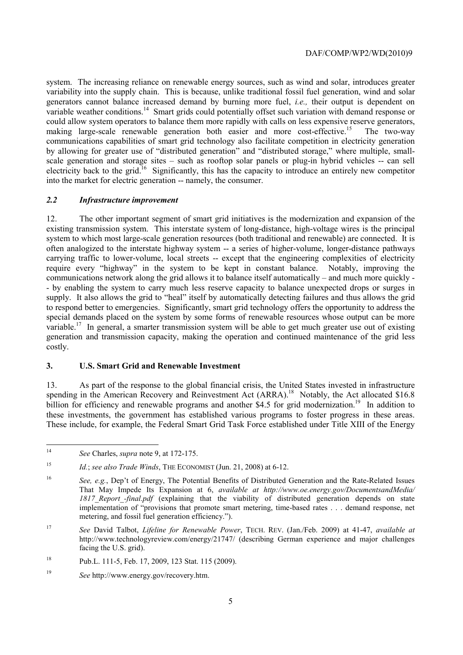variability into the supply chain. This is because, unlike traditional fossil fuel generation, wind and solar system. The increasing reliance on renewable energy sources, such as wind and solar, introduces greater generators cannot balance increased demand by burning more fuel, *i.e.,* their output is dependent on variable weather conditions.<sup>14</sup> Smart grids could potentially offset such variation with demand response or could allow system operators to balance them more rapidly with calls on less expensive reserve generators, making large-scale renewable generation both easier and more cost-effective.<sup>15</sup> The two-way communications capabilities of smart grid technology also facilitate competition in electricity generation by allowing for greater use of "distributed generation" and "distributed storage," where multiple, smallscale generation and storage sites – such as rooftop solar panels or plug-in hybrid vehicles -- can sell electricity back to the grid.<sup>16</sup> Significantly, this has the capacity to introduce an entirely new competitor into the market for electric generation -- namely, the consumer.

## *2.2 Infrastructure improvement*

 often analogized to the interstate highway system -- a series of higher-volume, longer-distance pathways 12. The other important segment of smart grid initiatives is the modernization and expansion of the existing transmission system. This interstate system of long-distance, high-voltage wires is the principal system to which most large-scale generation resources (both traditional and renewable) are connected. It is carrying traffic to lower-volume, local streets -- except that the engineering complexities of electricity require every "highway" in the system to be kept in constant balance. Notably, improving the communications network along the grid allows it to balance itself automatically – and much more quickly - - by enabling the system to carry much less reserve capacity to balance unexpected drops or surges in supply. It also allows the grid to "heal" itself by automatically detecting failures and thus allows the grid to respond better to emergencies. Significantly, smart grid technology offers the opportunity to address the special demands placed on the system by some forms of renewable resources whose output can be more variable.<sup>17</sup> In general, a smarter transmission system will be able to get much greater use out of existing generation and transmission capacity, making the operation and continued maintenance of the grid less costly.

# **3. U.S. Smart Grid and Renewable Investment**

billion for efficiency and renewable programs and another \$4.5 for grid modernization.<sup>19</sup> In addition to these investments, the government has established various programs to foster progress in these areas. 13. As part of the response to the global financial crisis, the United States invested in infrastructure spending in the American Recovery and Reinvestment Act (ARRA).<sup>18</sup> Notably, the Act allocated \$16.8 These include, for example, the Federal Smart Grid Task Force established under Title XIII of the Energy.

 $\overline{a}$ 

<sup>14</sup>*See* Charles, *supra* note 9, at 172-175.

<sup>15</sup>*Id.*; *see also Trade Winds*, THE ECONOMIST (Jun. 21, 2008) at 6-12.

<sup>16</sup>*See, e.g.*, Dep't of Energy, The Potential Benefits of Distributed Generation and the Rate-Related Issues That May Impede Its Expansion at 6, *available at http://www.oe.energy.gov/DocumentsandMedia/*  1817 Report -final.pdf (explaining that the viability of distributed generation depends on state implementation of "provisions that promote smart metering, time-based rates . . . demand response, net metering, and fossil fuel generation efficiency.").

<sup>17</sup>*See* David Talbot, *Lifeline for Renewable Power*, TECH. REV. (Jan./Feb. 2009) at 41-47, *available at*  http://www.technologyreview.com/energy/21747/ (describing German experience and major challenges facing the U.S. grid).

<sup>18</sup> 18 Pub.L. 111-5, Feb. 17, 2009, 123 Stat. 115 (2009).

<sup>19</sup>*See* http://www.energy.gov/recovery.htm.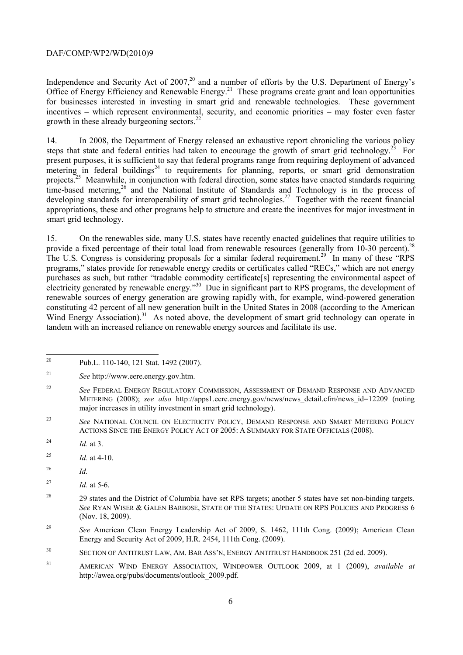Office of Energy Efficiency and Renewable Energy.<sup>21</sup> These programs create grant and loan opportunities Independence and Security Act of  $2007<sup>20</sup>$  and a number of efforts by the U.S. Department of Energy's for businesses interested in investing in smart grid and renewable technologies. These government incentives – which represent environmental, security, and economic priorities – may foster even faster growth in these already burgeoning sectors.<sup>22</sup>

14. In 2008, the Department of Energy released an exhaustive report chronicling the various policy steps that state and federal entities had taken to encourage the growth of smart grid technology.<sup>23</sup> For present purposes, it is sufficient to say that federal programs range from requiring deployment of advanced  $\text{metering}$  in federal buildings<sup>24</sup> to requirements for planning, reports, or smart grid demonstration projects.<sup>25</sup> Meanwhile, in conjunction with federal direction, some states have enacted standards requiring time-based metering,<sup>26</sup> and the National Institute of Standards and Technology is in the process of developing standards for interoperability of smart grid technologies.<sup>27</sup> Together with the recent financial appropriations, these and other programs help to structure and create the incentives for major investment in smart grid technology.

15. On the renewables side, many U.S. states have recently enacted guidelines that require utilities to provide a fixed percentage of their total load from renewable resources (generally from 10-30 percent).<sup>28</sup> The U.S. Congress is considering proposals for a similar federal requirement.<sup>29</sup> In many of these "RPS" programs," states provide for renewable energy credits or certificates called "RECs," which are not energy purchases as such, but rather "tradable commodity certificate[s] representing the environmental aspect of electricity generated by renewable energy."30 Due in significant part to RPS programs, the development of renewable sources of energy generation are growing rapidly with, for example, wind-powered generation constituting 42 percent of all new generation built in the United States in 2008 (according to the American Wind Energy Association).<sup>31</sup> As noted above, the development of smart grid technology can operate in tandem with an increased reliance on renewable energy sources and facilitate its use.

- 23 ACTIONS SINCE THE ENERGY POLICY ACT OF 2005: A SUMMARY FOR STATE OFFICIALS (2008). <sup>23</sup>*See* NATIONAL COUNCIL ON ELECTRICITY POLICY, DEMAND RESPONSE AND SMART METERING POLICY
- 24 <sup>24</sup>*Id.* at 3.
- <sup>25</sup> *Id.* at 4-10.
- <sup>26</sup>*Id.*
- 27 *Id.* at 5-6.
- *See* RYAN WISER & GALEN BARBOSE, STATE OF THE STATES: UPDATE ON RPS POLICIES AND PROGRESS 6 <sup>28</sup> 29 states and the District of Columbia have set RPS targets; another 5 states have set non-binding targets. (Nov. 18, 2009).
- <sup>29</sup>*See* American Clean Energy Leadership Act of 2009, S. 1462, 111th Cong. (2009); American Clean Energy and Security Act of 2009, H.R. 2454, 111th Cong. (2009).

 $20$ 20 Pub.L. 110-140, 121 Stat. 1492 (2007).

 $21$ <sup>21</sup>*See* http://www.eere.energy.gov.htm.

<sup>22</sup>*See* FEDERAL ENERGY REGULATORY COMMISSION, ASSESSMENT OF DEMAND RESPONSE AND ADVANCED METERING (2008); *see also* http://apps1.eere.energy.gov/news/news detail.cfm/news id=12209 (noting major increases in utility investment in smart grid technology).

<sup>30</sup> SECTION OF ANTITRUST LAW, AM. BAR ASS'N, ENERGY ANTITRUST HANDBOOK 251 (2d ed. 2009).

<sup>31</sup> AMERICAN WIND ENERGY ASSOCIATION, WINDPOWER OUTLOOK 2009, at 1 (2009), *available at*  http://awea.org/pubs/documents/outlook\_2009.pdf.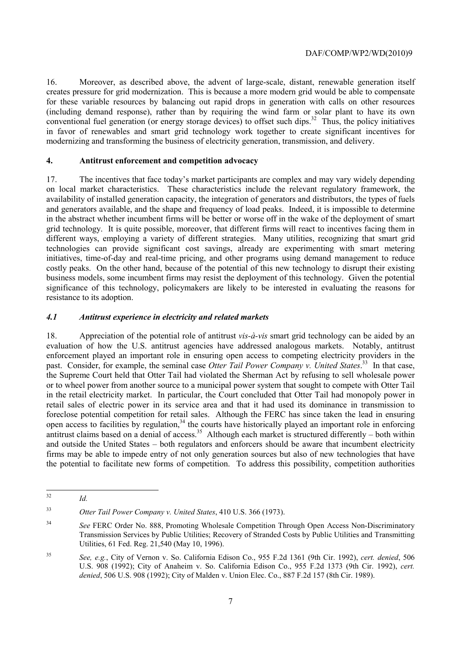creates pressure for grid modernization. This is because a more modern grid would be able to compensate 16. Moreover, as described above, the advent of large-scale, distant, renewable generation itself for these variable resources by balancing out rapid drops in generation with calls on other resources (including demand response), rather than by requiring the wind farm or solar plant to have its own conventional fuel generation (or energy storage devices) to offset such dips.<sup>32</sup> Thus, the policy initiatives in favor of renewables and smart grid technology work together to create significant incentives for modernizing and transforming the business of electricity generation, transmission, and delivery.

## **4. Antitrust enforcement and competition advocacy**

 grid technology. It is quite possible, moreover, that different firms will react to incentives facing them in 17. The incentives that face today's market participants are complex and may vary widely depending on local market characteristics. These characteristics include the relevant regulatory framework, the availability of installed generation capacity, the integration of generators and distributors, the types of fuels and generators available, and the shape and frequency of load peaks. Indeed, it is impossible to determine in the abstract whether incumbent firms will be better or worse off in the wake of the deployment of smart different ways, employing a variety of different strategies. Many utilities, recognizing that smart grid technologies can provide significant cost savings, already are experimenting with smart metering initiatives, time-of-day and real-time pricing, and other programs using demand management to reduce costly peaks. On the other hand, because of the potential of this new technology to disrupt their existing business models, some incumbent firms may resist the deployment of this technology. Given the potential significance of this technology, policymakers are likely to be interested in evaluating the reasons for resistance to its adoption.

## *4.1 Antitrust experience in electricity and related markets*

past. Consider, for example, the seminal case *Otter Tail Power Company v. United States*.<sup>33</sup> In that case, 18. Appreciation of the potential role of antitrust *vis-à-vis* smart grid technology can be aided by an evaluation of how the U.S. antitrust agencies have addressed analogous markets. Notably, antitrust enforcement played an important role in ensuring open access to competing electricity providers in the the Supreme Court held that Otter Tail had violated the Sherman Act by refusing to sell wholesale power or to wheel power from another source to a municipal power system that sought to compete with Otter Tail in the retail electricity market. In particular, the Court concluded that Otter Tail had monopoly power in retail sales of electric power in its service area and that it had used its dominance in transmission to foreclose potential competition for retail sales. Although the FERC has since taken the lead in ensuring open access to facilities by regulation,<sup>34</sup> the courts have historically played an important role in enforcing antitrust claims based on a denial of access.<sup>35</sup> Although each market is structured differently – both within and outside the United States – both regulators and enforcers should be aware that incumbent electricity firms may be able to impede entry of not only generation sources but also of new technologies that have the potential to facilitate new forms of competition. To address this possibility, competition authorities

 $32$ *Id.* 

<sup>33</sup>*Otter Tail Power Company v. United States*, 410 U.S. 366 (1973).

<sup>34</sup> <sup>34</sup>*See* FERC Order No. 888, Promoting Wholesale Competition Through Open Access Non-Discriminatory Transmission Services by Public Utilities; Recovery of Stranded Costs by Public Utilities and Transmitting Utilities, 61 Fed. Reg. 21,540 (May 10, 1996).

 U.S. 908 (1992); City of Anaheim v. So. California Edison Co., 955 F.2d 1373 (9th Cir. 1992), *cert. denied*, 506 U.S. 908 (1992); City of Malden v. Union Elec. Co., 887 F.2d 157 (8th Cir. 1989). <sup>35</sup>*See, e.g.*, City of Vernon v. So. California Edison Co., 955 F.2d 1361 (9th Cir. 1992), *cert. denied*, 506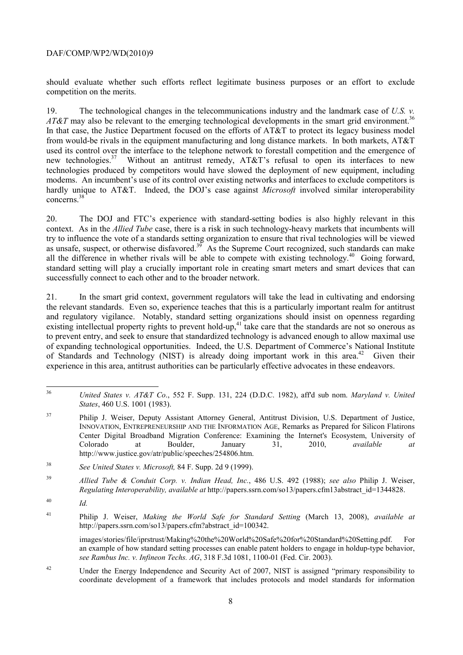should evaluate whether such efforts reflect legitimate business purposes or an effort to exclude competition on the merits.

*AT&T* may also be relevant to the emerging technological developments in the smart grid environment.<sup>36</sup> concerns.<sup>38</sup> 19. The technological changes in the telecommunications industry and the landmark case of *U.S. v.*  In that case, the Justice Department focused on the efforts of AT&T to protect its legacy business model from would-be rivals in the equipment manufacturing and long distance markets. In both markets, AT&T used its control over the interface to the telephone network to forestall competition and the emergence of new technologies.<sup>37</sup> Without an antitrust remedy,  $AT&T$ 's refusal to open its interfaces to new technologies produced by competitors would have slowed the deployment of new equipment, including modems. An incumbent's use of its control over existing networks and interfaces to exclude competitors is hardly unique to AT&T. Indeed, the DOJ's case against *Microsoft* involved similar interoperability

 try to influence the vote of a standards setting organization to ensure that rival technologies will be viewed standard setting will play a crucially important role in creating smart meters and smart devices that can successfully connect to each other and to the broader network. 20. The DOJ and FTC's experience with standard-setting bodies is also highly relevant in this context. As in the *Allied Tube* case, there is a risk in such technology-heavy markets that incumbents will as unsafe, suspect, or otherwise disfavored.<sup>39</sup> As the Supreme Court recognized, such standards can make all the difference in whether rivals will be able to compete with existing technology.<sup>40</sup> Going forward,

 the relevant standards. Even so, experience teaches that this is a particularly important realm for antitrust of Standards and Technology (NIST) is already doing important work in this area.<sup>42</sup> Given their 21. In the smart grid context, government regulators will take the lead in cultivating and endorsing and regulatory vigilance. Notably, standard setting organizations should insist on openness regarding existing intellectual property rights to prevent hold-up,<sup>41</sup> take care that the standards are not so onerous as to prevent entry, and seek to ensure that standardized technology is advanced enough to allow maximal use of expanding technological opportunities. Indeed, the U.S. Department of Commerce's National Institute experience in this area, antitrust authorities can be particularly effective advocates in these endeavors.

 $\overline{a}$ 

images/stories/file/iprstrust/Making%20the%20World%20Safe%20for%20Standard%20Setting.pdf. For an example of how standard setting processes can enable patent holders to engage in holdup-type behavior, *see Rambus Inc. v. Infineon Techs. AG*, 318 F.3d 1081, 1100-01 (Fed. Cir. 2003).

 $42$ Under the Energy Independence and Security Act of 2007, NIST is assigned "primary responsibility to coordinate development of a framework that includes protocols and model standards for information

<sup>36</sup>*United States v. AT&T Co*., 552 F. Supp. 131, 224 (D.D.C. 1982), aff'd sub nom. *Maryland v. United States*, 460 U.S. 1001 (1983).

<sup>&</sup>lt;sup>37</sup> Philip J. Weiser, Deputy Assistant Attorney General, Antitrust Division, U.S. Department of Justice, INNOVATION, ENTREPRENEURSHIP AND THE INFORMATION AGE, Remarks as Prepared for Silicon Flatirons Center Digital Broadband Migration Conference: Examining the Internet's Ecosystem, University of Colorado at Boulder, January 31, 2010, *available at*  http://www.justice.gov/atr/public/speeches/254806.htm.

<sup>38</sup> <sup>38</sup>*See United States v. Microsoft,* 84 F. Supp. 2d 9 (1999).

<sup>39</sup> <sup>39</sup>*Allied Tube & Conduit Corp. v. Indian Head, Inc.*, 486 U.S. 492 (1988); *see also* Philip J. Weiser, *Regulating Interoperability, available at* http://papers.ssrn.com/so13/papers.cfm13abstract\_id=1344828.

 $^{40}$  *Id.* 

<sup>41</sup> Philip J. Weiser, *Making the World Safe for Standard Setting* (March 13, 2008), *available at*  http://papers.ssrn.com/so13/papers.cfm?abstract\_id=100342.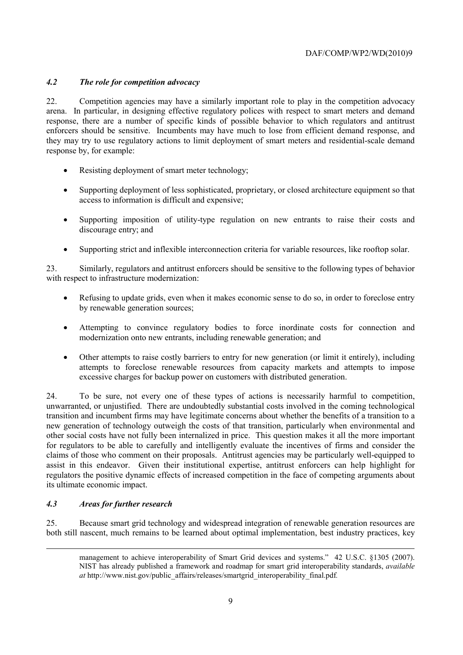# *4.2 The role for competition advocacy*

22. Competition agencies may have a similarly important role to play in the competition advocacy arena. In particular, in designing effective regulatory polices with respect to smart meters and demand response, there are a number of specific kinds of possible behavior to which regulators and antitrust enforcers should be sensitive. Incumbents may have much to lose from efficient demand response, and they may try to use regulatory actions to limit deployment of smart meters and residential-scale demand response by, for example:

- Resisting deployment of smart meter technology;
- Supporting deployment of less sophisticated, proprietary, or closed architecture equipment so that access to information is difficult and expensive;
- Supporting imposition of utility-type regulation on new entrants to raise their costs and discourage entry; and
- Supporting strict and inflexible interconnection criteria for variable resources, like rooftop solar.

23. Similarly, regulators and antitrust enforcers should be sensitive to the following types of behavior with respect to infrastructure modernization:

- Refusing to update grids, even when it makes economic sense to do so, in order to foreclose entry by renewable generation sources;
- Attempting to convince regulatory bodies to force inordinate costs for connection and modernization onto new entrants, including renewable generation; and
- Other attempts to raise costly barriers to entry for new generation (or limit it entirely), including attempts to foreclose renewable resources from capacity markets and attempts to impose excessive charges for backup power on customers with distributed generation.

24. To be sure, not every one of these types of actions is necessarily harmful to competition, unwarranted, or unjustified. There are undoubtedly substantial costs involved in the coming technological transition and incumbent firms may have legitimate concerns about whether the benefits of a transition to a new generation of technology outweigh the costs of that transition, particularly when environmental and other social costs have not fully been internalized in price. This question makes it all the more important for regulators to be able to carefully and intelligently evaluate the incentives of firms and consider the claims of those who comment on their proposals. Antitrust agencies may be particularly well-equipped to assist in this endeavor. Given their institutional expertise, antitrust enforcers can help highlight for regulators the positive dynamic effects of increased competition in the face of competing arguments about its ultimate economic impact.

# *4.3 Areas for further research*

-

25. Because smart grid technology and widespread integration of renewable generation resources are both still nascent, much remains to be learned about optimal implementation, best industry practices, key

management to achieve interoperability of Smart Grid devices and systems." 42 U.S.C. §1305 (2007). NIST has already published a framework and roadmap for smart grid interoperability standards, *available at* http://www.nist.gov/public\_affairs/releases/smartgrid\_interoperability\_final.pdf*.*